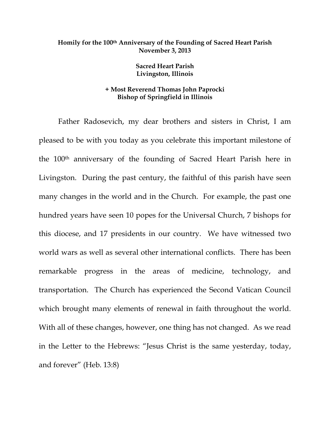## **Homily for the 100th Anniversary of the Founding of Sacred Heart Parish November 3, 2013**

**Sacred Heart Parish Livingston, Illinois** 

## **+ Most Reverend Thomas John Paprocki Bishop of Springfield in Illinois**

 Father Radosevich, my dear brothers and sisters in Christ, I am pleased to be with you today as you celebrate this important milestone of the 100th anniversary of the founding of Sacred Heart Parish here in Livingston. During the past century, the faithful of this parish have seen many changes in the world and in the Church. For example, the past one hundred years have seen 10 popes for the Universal Church, 7 bishops for this diocese, and 17 presidents in our country. We have witnessed two world wars as well as several other international conflicts. There has been remarkable progress in the areas of medicine, technology, and transportation. The Church has experienced the Second Vatican Council which brought many elements of renewal in faith throughout the world. With all of these changes, however, one thing has not changed. As we read in the Letter to the Hebrews: "Jesus Christ is the same yesterday, today, and forever" (Heb. 13:8)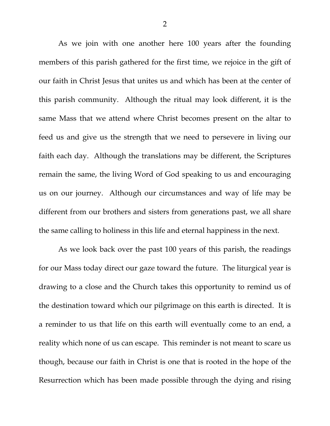As we join with one another here 100 years after the founding members of this parish gathered for the first time, we rejoice in the gift of our faith in Christ Jesus that unites us and which has been at the center of this parish community. Although the ritual may look different, it is the same Mass that we attend where Christ becomes present on the altar to feed us and give us the strength that we need to persevere in living our faith each day. Although the translations may be different, the Scriptures remain the same, the living Word of God speaking to us and encouraging us on our journey. Although our circumstances and way of life may be different from our brothers and sisters from generations past, we all share the same calling to holiness in this life and eternal happiness in the next.

 As we look back over the past 100 years of this parish, the readings for our Mass today direct our gaze toward the future. The liturgical year is drawing to a close and the Church takes this opportunity to remind us of the destination toward which our pilgrimage on this earth is directed. It is a reminder to us that life on this earth will eventually come to an end, a reality which none of us can escape. This reminder is not meant to scare us though, because our faith in Christ is one that is rooted in the hope of the Resurrection which has been made possible through the dying and rising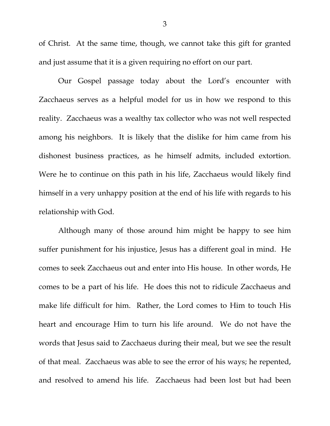of Christ. At the same time, though, we cannot take this gift for granted and just assume that it is a given requiring no effort on our part.

 Our Gospel passage today about the Lord's encounter with Zacchaeus serves as a helpful model for us in how we respond to this reality. Zacchaeus was a wealthy tax collector who was not well respected among his neighbors. It is likely that the dislike for him came from his dishonest business practices, as he himself admits, included extortion. Were he to continue on this path in his life, Zacchaeus would likely find himself in a very unhappy position at the end of his life with regards to his relationship with God.

 Although many of those around him might be happy to see him suffer punishment for his injustice, Jesus has a different goal in mind. He comes to seek Zacchaeus out and enter into His house. In other words, He comes to be a part of his life. He does this not to ridicule Zacchaeus and make life difficult for him. Rather, the Lord comes to Him to touch His heart and encourage Him to turn his life around. We do not have the words that Jesus said to Zacchaeus during their meal, but we see the result of that meal. Zacchaeus was able to see the error of his ways; he repented, and resolved to amend his life. Zacchaeus had been lost but had been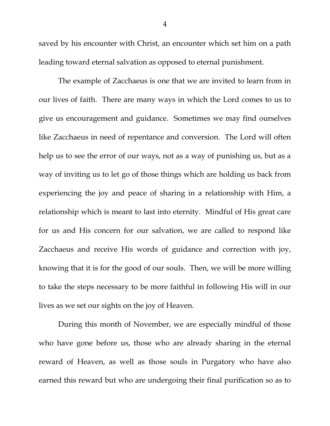saved by his encounter with Christ, an encounter which set him on a path leading toward eternal salvation as opposed to eternal punishment.

 The example of Zacchaeus is one that we are invited to learn from in our lives of faith. There are many ways in which the Lord comes to us to give us encouragement and guidance. Sometimes we may find ourselves like Zacchaeus in need of repentance and conversion. The Lord will often help us to see the error of our ways, not as a way of punishing us, but as a way of inviting us to let go of those things which are holding us back from experiencing the joy and peace of sharing in a relationship with Him, a relationship which is meant to last into eternity. Mindful of His great care for us and His concern for our salvation, we are called to respond like Zacchaeus and receive His words of guidance and correction with joy, knowing that it is for the good of our souls. Then, we will be more willing to take the steps necessary to be more faithful in following His will in our lives as we set our sights on the joy of Heaven.

 During this month of November, we are especially mindful of those who have gone before us, those who are already sharing in the eternal reward of Heaven, as well as those souls in Purgatory who have also earned this reward but who are undergoing their final purification so as to